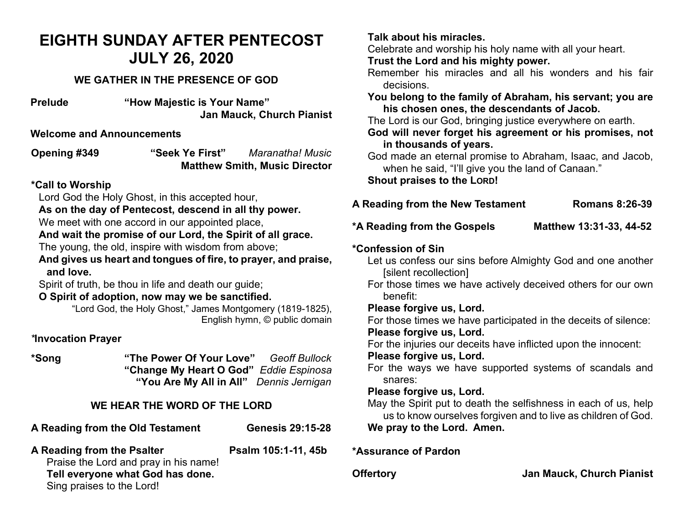# **EIGHTH SUNDAY AFTER PENTECOST JULY 26, 2020**

# **WE GATHER IN THE PRESENCE OF GOD**

**Prelude "How Majestic is Your Name" Jan Mauck, Church Pianist**

#### **Welcome and Announcements**

**Opening #349 "Seek Ye First"** *Maranatha! Music* **Matthew Smith, Music Director** 

## **\*Call to Worship**

Lord God the Holy Ghost, in this accepted hour,

**As on the day of Pentecost, descend in all thy power.**

We meet with one accord in our appointed place,

# **And wait the promise of our Lord, the Spirit of all grace.**

The young, the old, inspire with wisdom from above;

**And gives us heart and tongues of fire, to prayer, and praise, and love.** 

Spirit of truth, be thou in life and death our guide;

## **O Spirit of adoption, now may we be sanctified.**

"Lord God, the Holy Ghost," James Montgomery (1819-1825), English hymn, © public domain

# *\****Invocation Prayer**

**\*Song "The Power Of Your Love"** *Geoff Bullock* **"Change My Heart O God"** *Eddie Espinosa*  **"You Are My All in All"** *Dennis Jernigan*

# **WE HEAR THE WORD OF THE LORD**

**A Reading from the Old Testament Genesis 29:15-28**

A Reading from the Psalter **Property** Psalm 105:1-11, 45b Praise the Lord and pray in his name!

#### **Tell everyone what God has done.**

Sing praises to the Lord!

## **Talk about his miracles.**

Celebrate and worship his holy name with all your heart.

**Trust the Lord and his mighty power.**

Remember his miracles and all his wonders and his fair decisions.

**You belong to the family of Abraham, his servant; you are his chosen ones, the descendants of Jacob.**

The Lord is our God, bringing justice everywhere on earth.

**God will never forget his agreement or his promises, not in thousands of years.**

God made an eternal promise to Abraham, Isaac, and Jacob, when he said, "I'll give you the land of Canaan."

**Shout praises to the LORD!**

| A Reading from the New Testament | <b>Romans 8:26-39</b> |
|----------------------------------|-----------------------|
|                                  |                       |

**\*A Reading from the Gospels Matthew 13:31-33, 44-52**

# **\*Confession of Sin**

Let us confess our sins before Almighty God and one another [silent recollection]

For those times we have actively deceived others for our own benefit:

**Please forgive us, Lord.** 

For those times we have participated in the deceits of silence: **Please forgive us, Lord.** 

For the injuries our deceits have inflicted upon the innocent:

## **Please forgive us, Lord.**

For the ways we have supported systems of scandals and snares:

## **Please forgive us, Lord.**

May the Spirit put to death the selfishness in each of us, help us to know ourselves forgiven and to live as children of God. **We pray to the Lord. Amen.** 

**\*Assurance of Pardon**

**Offertory Jan Mauck, Church Pianist**